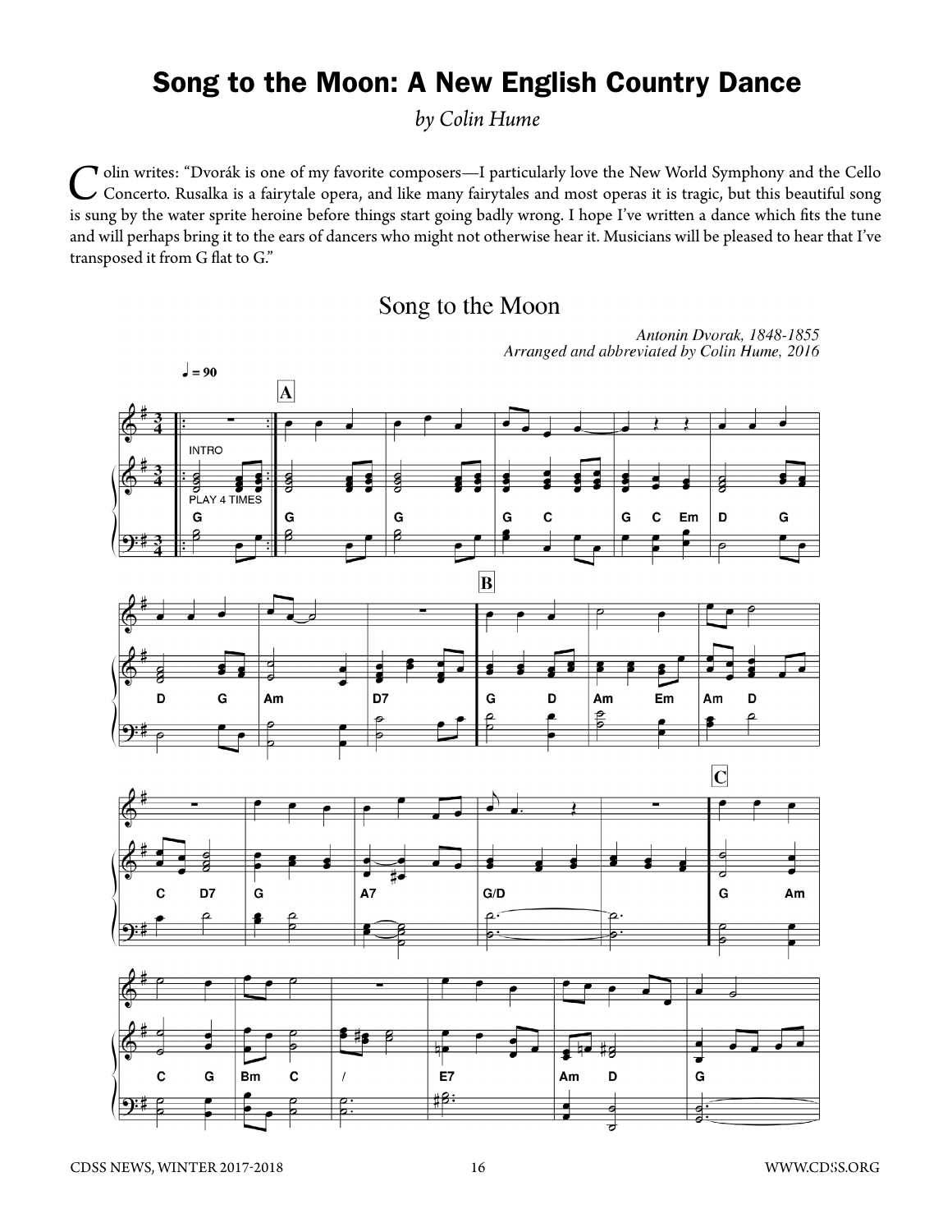## Song to the Moon: A New English Country Dance

*by Colin Hume*

*C*olin writes: "Dvorák is one of my favorite composers—I particularly love the New World Symphony and the Cello Concerto. Rusalka is a fairytale opera, and like many fairytales and most operas it is tragic, but this beautiful song is sung by the water sprite heroine before things start going badly wrong. I hope I've written a dance which fits the tune and will perhaps bring it to the ears of dancers who might not otherwise hear it. Musicians will be pleased to hear that I've transposed it from G flat to G."

## Song to the Moon

Arranged and abbreviated by Colin Hume, 2016  $\frac{1}{2}$  = 90  $\overline{\mathbf{A}}$ **INTRO**  $\frac{9}{P}$  PLAY 4 TIMES G G D G G G C G C Em  $|\mathbf{B}% | = \mathbf{B} \mathbf{B} | \mathbf{A} \mathbf{B} | \mathbf{B} | \mathbf{B} \mathbf{B} = \mathbf{B} \mathbf{B} \mathbf{B} \mathbf{B} \mathbf{B}$ G D7 D Am G D Am Em D Am  $\overline{\mathbf{C}}$ D7 G A7  $G/D$ G Am C  $\overline{\mathbf{c}}$ G **Bm** C E7 Am D G C

Antonin Dvorak, 1848-1855

<u> 18:</u>